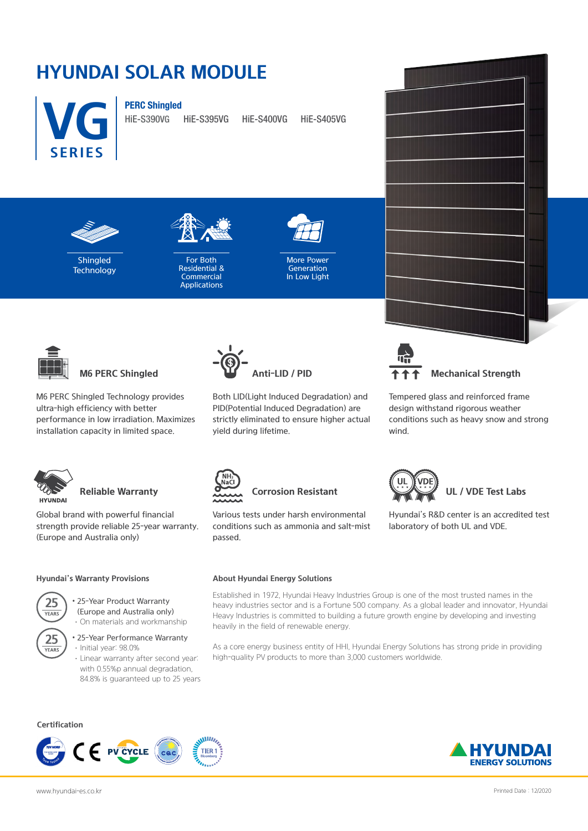# **HYUNDAI SOLAR MODULE**



HiE-S390VG HiE-S395VG HiE-S400VG HiE-S405VG



Shingled **Technology** 



For Both Residential & **Commercial Applications** 



More Power Generation In Low Light



M6 PERC Shingled Technology provides ultra-high efficiency with better performance in low irradiation. Maximizes installation capacity in limited space.



Global brand with powerful financial strength provide reliable 25-year warranty. (Europe and Australia only)

### **Hyundai's Warranty Provisions**



**25**

YEAR<sup>®</sup>

• 25-Year Product Warranty (Europe and Australia only) ·On materials and workmanship

• 25-Year Performance Warranty ·Initial year: 98.0%

·Linear warranty after second year: with 0.55%p annual degradation, 84.8% is guaranteed up to 25 years

Both LID(Light Induced Degradation) and PID(Potential Induced Degradation) are strictly eliminated to ensure higher actual yield during lifetime.



Tempered glass and reinforced frame

design withstand rigorous weather conditions such as heavy snow and strong wind.

Hyundai's R&D center is an accredited test

laboratory of both UL and VDE.



# **Reliable Warranty Corrosion Resistant UL / VDE Test Labs**

Various tests under harsh environmental conditions such as ammonia and salt-mist passed.



Established in 1972, Hyundai Heavy Industries Group is one of the most trusted names in the heavy industries sector and is a Fortune 500 company. As a global leader and innovator, Hyundai Heavy Industries is committed to building a future growth engine by developing and investing heavily in the field of renewable energy.

As a core energy business entity of HHI, Hyundai Energy Solutions has strong pride in providing high-quality PV products to more than 3,000 customers worldwide.

### **Certification**